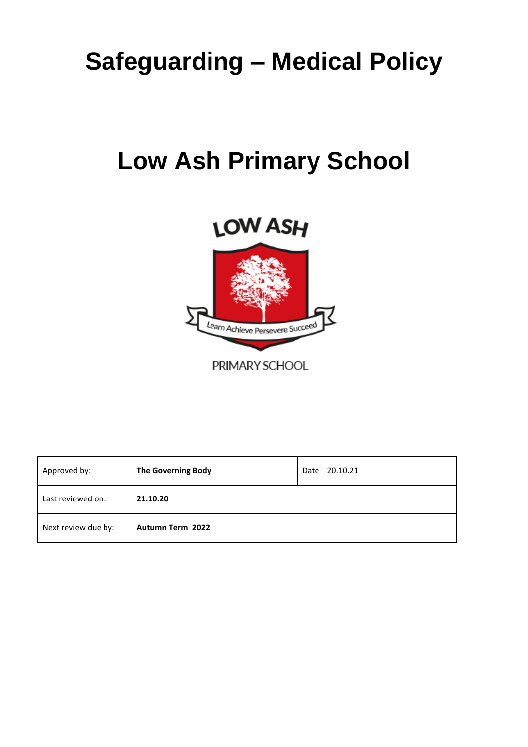# **Safeguarding – Medical Policy**

# **Low Ash Primary School**



| Approved by:        | <b>The Governing Body</b> | 20.10.21<br>Date |
|---------------------|---------------------------|------------------|
| Last reviewed on:   | 21.10.20                  |                  |
| Next review due by: | <b>Autumn Term 2022</b>   |                  |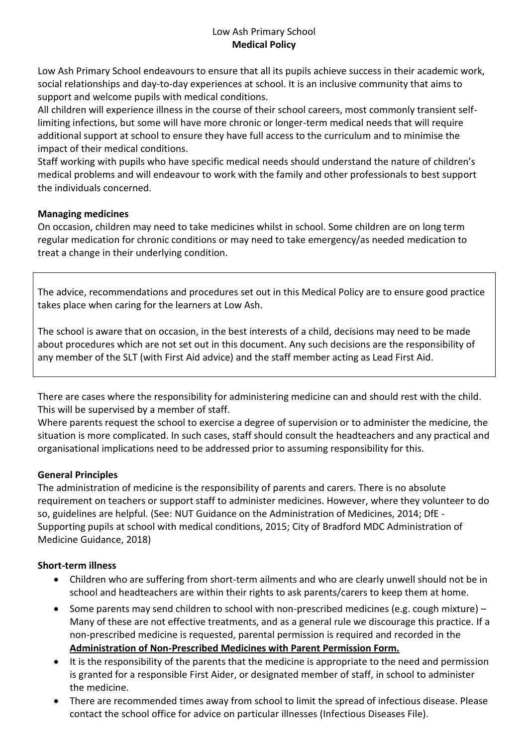# Low Ash Primary School **Medical Policy**

Low Ash Primary School endeavours to ensure that all its pupils achieve success in their academic work, social relationships and day-to-day experiences at school. It is an inclusive community that aims to support and welcome pupils with medical conditions.

All children will experience illness in the course of their school careers, most commonly transient selflimiting infections, but some will have more chronic or longer-term medical needs that will require additional support at school to ensure they have full access to the curriculum and to minimise the impact of their medical conditions.

Staff working with pupils who have specific medical needs should understand the nature of children's medical problems and will endeavour to work with the family and other professionals to best support the individuals concerned.

### **Managing medicines**

On occasion, children may need to take medicines whilst in school. Some children are on long term regular medication for chronic conditions or may need to take emergency/as needed medication to treat a change in their underlying condition.

The advice, recommendations and procedures set out in this Medical Policy are to ensure good practice takes place when caring for the learners at Low Ash.

The school is aware that on occasion, in the best interests of a child, decisions may need to be made about procedures which are not set out in this document. Any such decisions are the responsibility of any member of the SLT (with First Aid advice) and the staff member acting as Lead First Aid.

There are cases where the responsibility for administering medicine can and should rest with the child. This will be supervised by a member of staff.

Where parents request the school to exercise a degree of supervision or to administer the medicine, the situation is more complicated. In such cases, staff should consult the headteachers and any practical and organisational implications need to be addressed prior to assuming responsibility for this.

### **General Principles**

The administration of medicine is the responsibility of parents and carers. There is no absolute requirement on teachers or support staff to administer medicines. However, where they volunteer to do so, guidelines are helpful. (See: NUT Guidance on the Administration of Medicines, 2014; DfE - Supporting pupils at school with medical conditions, 2015; City of Bradford MDC Administration of Medicine Guidance, 2018)

### **Short-term illness**

- Children who are suffering from short-term ailments and who are clearly unwell should not be in school and headteachers are within their rights to ask parents/carers to keep them at home.
- Some parents may send children to school with non-prescribed medicines (e.g. cough mixture) Many of these are not effective treatments, and as a general rule we discourage this practice. If a non-prescribed medicine is requested, parental permission is required and recorded in the **Administration of Non-Prescribed Medicines with Parent Permission Form.**
- It is the responsibility of the parents that the medicine is appropriate to the need and permission is granted for a responsible First Aider, or designated member of staff, in school to administer the medicine.
- There are recommended times away from school to limit the spread of infectious disease. Please contact the school office for advice on particular illnesses (Infectious Diseases File).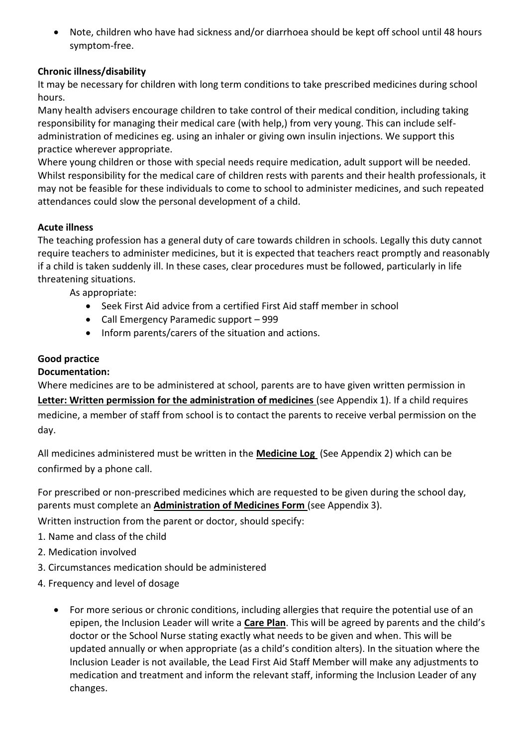• Note, children who have had sickness and/or diarrhoea should be kept off school until 48 hours symptom-free.

# **Chronic illness/disability**

It may be necessary for children with long term conditions to take prescribed medicines during school hours.

Many health advisers encourage children to take control of their medical condition, including taking responsibility for managing their medical care (with help,) from very young. This can include selfadministration of medicines eg. using an inhaler or giving own insulin injections. We support this practice wherever appropriate.

Where young children or those with special needs require medication, adult support will be needed. Whilst responsibility for the medical care of children rests with parents and their health professionals, it may not be feasible for these individuals to come to school to administer medicines, and such repeated attendances could slow the personal development of a child.

# **Acute illness**

The teaching profession has a general duty of care towards children in schools. Legally this duty cannot require teachers to administer medicines, but it is expected that teachers react promptly and reasonably if a child is taken suddenly ill. In these cases, clear procedures must be followed, particularly in life threatening situations.

As appropriate:

- Seek First Aid advice from a certified First Aid staff member in school
- Call Emergency Paramedic support 999
- Inform parents/carers of the situation and actions.

# **Good practice**

#### **Documentation:**

Where medicines are to be administered at school, parents are to have given written permission in

**Letter: Written permission for the administration of medicines** (see Appendix 1). If a child requires medicine, a member of staff from school is to contact the parents to receive verbal permission on the day.

All medicines administered must be written in the **Medicine Log** (See Appendix 2) which can be confirmed by a phone call.

For prescribed or non-prescribed medicines which are requested to be given during the school day, parents must complete an **Administration of Medicines Form** (see Appendix 3).

Written instruction from the parent or doctor, should specify:

- 1. Name and class of the child
- 2. Medication involved
- 3. Circumstances medication should be administered
- 4. Frequency and level of dosage
	- For more serious or chronic conditions, including allergies that require the potential use of an epipen, the Inclusion Leader will write a **Care Plan**. This will be agreed by parents and the child's doctor or the School Nurse stating exactly what needs to be given and when. This will be updated annually or when appropriate (as a child's condition alters). In the situation where the Inclusion Leader is not available, the Lead First Aid Staff Member will make any adjustments to medication and treatment and inform the relevant staff, informing the Inclusion Leader of any changes.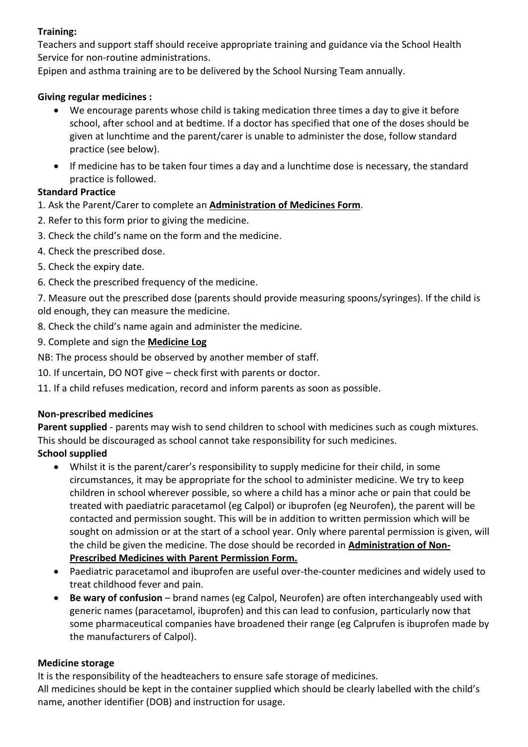# **Training:**

Teachers and support staff should receive appropriate training and guidance via the School Health Service for non-routine administrations.

Epipen and asthma training are to be delivered by the School Nursing Team annually.

# **Giving regular medicines :**

- We encourage parents whose child is taking medication three times a day to give it before school, after school and at bedtime. If a doctor has specified that one of the doses should be given at lunchtime and the parent/carer is unable to administer the dose, follow standard practice (see below).
- If medicine has to be taken four times a day and a lunchtime dose is necessary, the standard practice is followed.

# **Standard Practice**

- 1. Ask the Parent/Carer to complete an **Administration of Medicines Form**.
- 2. Refer to this form prior to giving the medicine.
- 3. Check the child's name on the form and the medicine.
- 4. Check the prescribed dose.
- 5. Check the expiry date.
- 6. Check the prescribed frequency of the medicine.

7. Measure out the prescribed dose (parents should provide measuring spoons/syringes). If the child is old enough, they can measure the medicine.

- 8. Check the child's name again and administer the medicine.
- 9. Complete and sign the **Medicine Log**
- NB: The process should be observed by another member of staff.
- 10. If uncertain, DO NOT give check first with parents or doctor.
- 11. If a child refuses medication, record and inform parents as soon as possible.

### **Non-prescribed medicines**

**Parent supplied** - parents may wish to send children to school with medicines such as cough mixtures. This should be discouraged as school cannot take responsibility for such medicines.

# **School supplied**

- Whilst it is the parent/carer's responsibility to supply medicine for their child, in some circumstances, it may be appropriate for the school to administer medicine. We try to keep children in school wherever possible, so where a child has a minor ache or pain that could be treated with paediatric paracetamol (eg Calpol) or ibuprofen (eg Neurofen), the parent will be contacted and permission sought. This will be in addition to written permission which will be sought on admission or at the start of a school year. Only where parental permission is given, will the child be given the medicine. The dose should be recorded in **Administration of Non-Prescribed Medicines with Parent Permission Form.**
- Paediatric paracetamol and ibuprofen are useful over-the-counter medicines and widely used to treat childhood fever and pain.
- **Be wary of confusion** brand names (eg Calpol, Neurofen) are often interchangeably used with generic names (paracetamol, ibuprofen) and this can lead to confusion, particularly now that some pharmaceutical companies have broadened their range (eg Calprufen is ibuprofen made by the manufacturers of Calpol).

### **Medicine storage**

It is the responsibility of the headteachers to ensure safe storage of medicines.

All medicines should be kept in the container supplied which should be clearly labelled with the child's name, another identifier (DOB) and instruction for usage.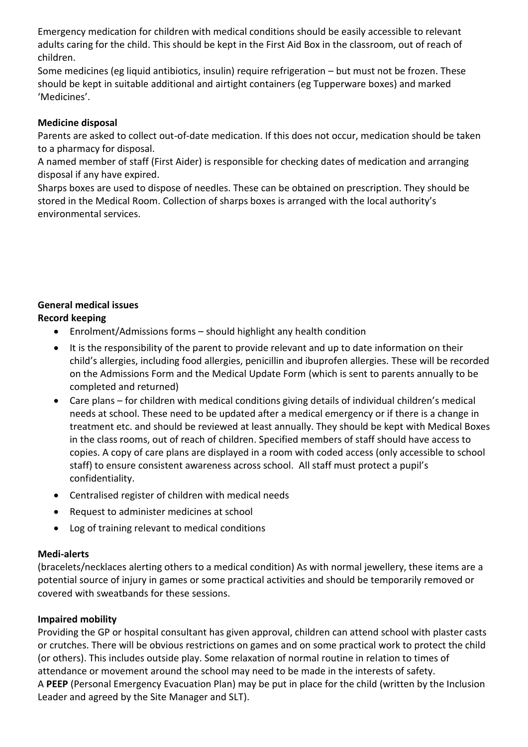Emergency medication for children with medical conditions should be easily accessible to relevant adults caring for the child. This should be kept in the First Aid Box in the classroom, out of reach of children.

Some medicines (eg liquid antibiotics, insulin) require refrigeration – but must not be frozen. These should be kept in suitable additional and airtight containers (eg Tupperware boxes) and marked 'Medicines'.

### **Medicine disposal**

Parents are asked to collect out-of-date medication. If this does not occur, medication should be taken to a pharmacy for disposal.

A named member of staff (First Aider) is responsible for checking dates of medication and arranging disposal if any have expired.

Sharps boxes are used to dispose of needles. These can be obtained on prescription. They should be stored in the Medical Room. Collection of sharps boxes is arranged with the local authority's environmental services.

#### **General medical issues Record keeping**

- Enrolment/Admissions forms should highlight any health condition
- It is the responsibility of the parent to provide relevant and up to date information on their child's allergies, including food allergies, penicillin and ibuprofen allergies. These will be recorded on the Admissions Form and the Medical Update Form (which is sent to parents annually to be completed and returned)
- Care plans for children with medical conditions giving details of individual children's medical needs at school. These need to be updated after a medical emergency or if there is a change in treatment etc. and should be reviewed at least annually. They should be kept with Medical Boxes in the class rooms, out of reach of children. Specified members of staff should have access to copies. A copy of care plans are displayed in a room with coded access (only accessible to school staff) to ensure consistent awareness across school. All staff must protect a pupil's confidentiality.
- Centralised register of children with medical needs
- Request to administer medicines at school
- Log of training relevant to medical conditions

### **Medi-alerts**

(bracelets/necklaces alerting others to a medical condition) As with normal jewellery, these items are a potential source of injury in games or some practical activities and should be temporarily removed or covered with sweatbands for these sessions.

# **Impaired mobility**

Providing the GP or hospital consultant has given approval, children can attend school with plaster casts or crutches. There will be obvious restrictions on games and on some practical work to protect the child (or others). This includes outside play. Some relaxation of normal routine in relation to times of attendance or movement around the school may need to be made in the interests of safety. A **PEEP** (Personal Emergency Evacuation Plan) may be put in place for the child (written by the Inclusion Leader and agreed by the Site Manager and SLT).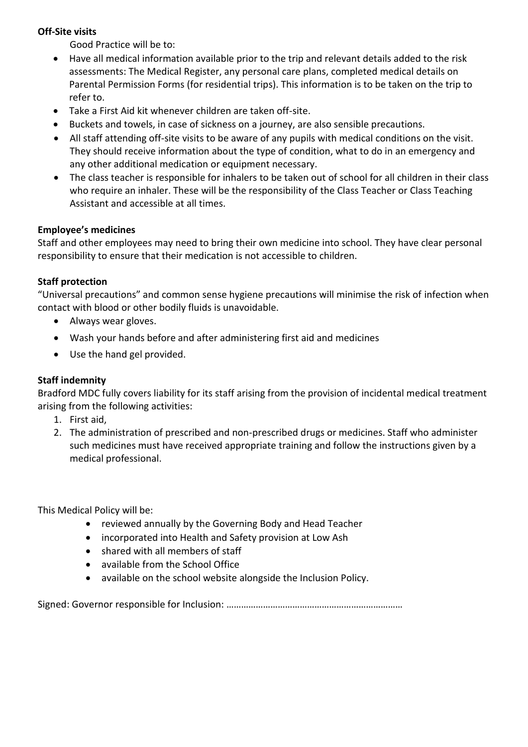# **Off-Site visits**

Good Practice will be to:

- Have all medical information available prior to the trip and relevant details added to the risk assessments: The Medical Register, any personal care plans, completed medical details on Parental Permission Forms (for residential trips). This information is to be taken on the trip to refer to.
- Take a First Aid kit whenever children are taken off-site.
- Buckets and towels, in case of sickness on a journey, are also sensible precautions.
- All staff attending off-site visits to be aware of any pupils with medical conditions on the visit. They should receive information about the type of condition, what to do in an emergency and any other additional medication or equipment necessary.
- The class teacher is responsible for inhalers to be taken out of school for all children in their class who require an inhaler. These will be the responsibility of the Class Teacher or Class Teaching Assistant and accessible at all times.

### **Employee's medicines**

Staff and other employees may need to bring their own medicine into school. They have clear personal responsibility to ensure that their medication is not accessible to children.

### **Staff protection**

"Universal precautions" and common sense hygiene precautions will minimise the risk of infection when contact with blood or other bodily fluids is unavoidable.

- Always wear gloves.
- Wash your hands before and after administering first aid and medicines
- Use the hand gel provided.

### **Staff indemnity**

Bradford MDC fully covers liability for its staff arising from the provision of incidental medical treatment arising from the following activities:

- 1. First aid,
- 2. The administration of prescribed and non-prescribed drugs or medicines. Staff who administer such medicines must have received appropriate training and follow the instructions given by a medical professional.

This Medical Policy will be:

- reviewed annually by the Governing Body and Head Teacher
- incorporated into Health and Safety provision at Low Ash
- shared with all members of staff
- available from the School Office
- available on the school website alongside the Inclusion Policy.

Signed: Governor responsible for Inclusion: ………………………………………………………………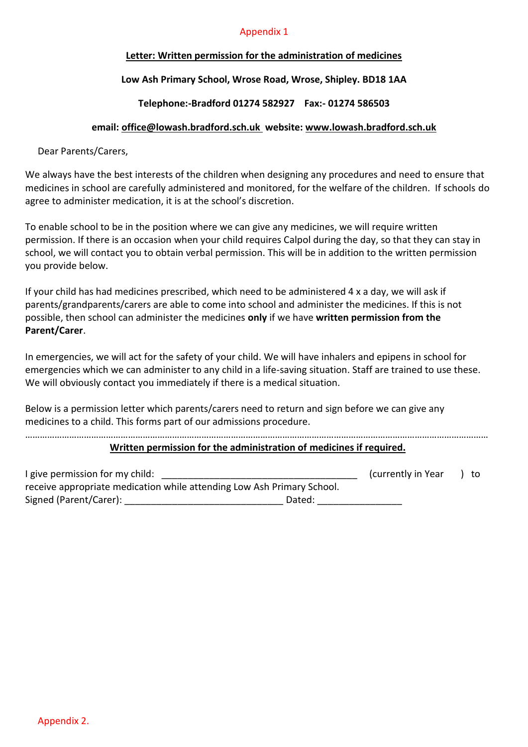#### Appendix 1

#### **Letter: Written permission for the administration of medicines**

### **Low Ash Primary School, Wrose Road, Wrose, Shipley. BD18 1AA**

#### **Telephone:-Bradford 01274 582927 Fax:- 01274 586503**

#### **email: [office@lowash.bradford.sch.uk](mailto:office@lowash.bradford.sch.uk) website: [www.lowash.bradford.sch.uk](http://www.lowash.bradford.sch.uk/)**

Dear Parents/Carers,

We always have the best interests of the children when designing any procedures and need to ensure that medicines in school are carefully administered and monitored, for the welfare of the children. If schools do agree to administer medication, it is at the school's discretion.

To enable school to be in the position where we can give any medicines, we will require written permission. If there is an occasion when your child requires Calpol during the day, so that they can stay in school, we will contact you to obtain verbal permission. This will be in addition to the written permission you provide below.

If your child has had medicines prescribed, which need to be administered 4 x a day, we will ask if parents/grandparents/carers are able to come into school and administer the medicines. If this is not possible, then school can administer the medicines **only** if we have **written permission from the Parent/Carer**.

In emergencies, we will act for the safety of your child. We will have inhalers and epipens in school for emergencies which we can administer to any child in a life-saving situation. Staff are trained to use these. We will obviously contact you immediately if there is a medical situation.

Below is a permission letter which parents/carers need to return and sign before we can give any medicines to a child. This forms part of our admissions procedure.

#### ……………………………………………………………………………………………………………………………………………………………………… **Written permission for the administration of medicines if required.**

| I give permission for my child:                                        |        | (currently in Year) | to |
|------------------------------------------------------------------------|--------|---------------------|----|
| receive appropriate medication while attending Low Ash Primary School. |        |                     |    |
| Signed (Parent/Carer):                                                 | Dated: |                     |    |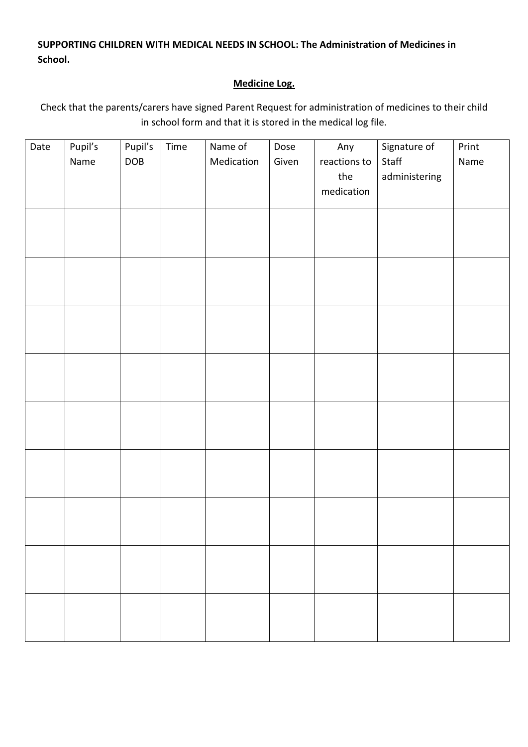**SUPPORTING CHILDREN WITH MEDICAL NEEDS IN SCHOOL: The Administration of Medicines in School.**

# **Medicine Log.**

Check that the parents/carers have signed Parent Request for administration of medicines to their child in school form and that it is stored in the medical log file.

| Date | Pupil's | Pupil's    | Time | Name of    | Dose  | Any          | Signature of  | Print |
|------|---------|------------|------|------------|-------|--------------|---------------|-------|
|      | Name    | <b>DOB</b> |      | Medication | Given | reactions to | Staff         | Name  |
|      |         |            |      |            |       | the          | administering |       |
|      |         |            |      |            |       | medication   |               |       |
|      |         |            |      |            |       |              |               |       |
|      |         |            |      |            |       |              |               |       |
|      |         |            |      |            |       |              |               |       |
|      |         |            |      |            |       |              |               |       |
|      |         |            |      |            |       |              |               |       |
|      |         |            |      |            |       |              |               |       |
|      |         |            |      |            |       |              |               |       |
|      |         |            |      |            |       |              |               |       |
|      |         |            |      |            |       |              |               |       |
|      |         |            |      |            |       |              |               |       |
|      |         |            |      |            |       |              |               |       |
|      |         |            |      |            |       |              |               |       |
|      |         |            |      |            |       |              |               |       |
|      |         |            |      |            |       |              |               |       |
|      |         |            |      |            |       |              |               |       |
|      |         |            |      |            |       |              |               |       |
|      |         |            |      |            |       |              |               |       |
|      |         |            |      |            |       |              |               |       |
|      |         |            |      |            |       |              |               |       |
|      |         |            |      |            |       |              |               |       |
|      |         |            |      |            |       |              |               |       |
|      |         |            |      |            |       |              |               |       |
|      |         |            |      |            |       |              |               |       |
|      |         |            |      |            |       |              |               |       |
|      |         |            |      |            |       |              |               |       |
|      |         |            |      |            |       |              |               |       |
|      |         |            |      |            |       |              |               |       |
|      |         |            |      |            |       |              |               |       |
|      |         |            |      |            |       |              |               |       |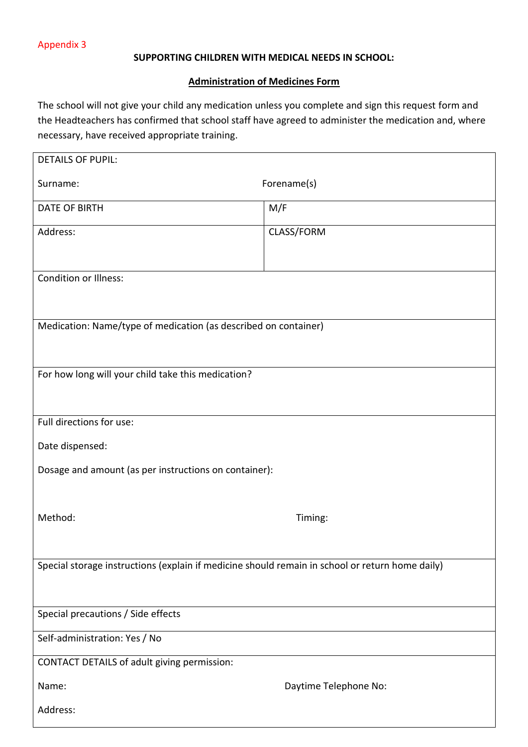#### **SUPPORTING CHILDREN WITH MEDICAL NEEDS IN SCHOOL:**

#### **Administration of Medicines Form**

The school will not give your child any medication unless you complete and sign this request form and the Headteachers has confirmed that school staff have agreed to administer the medication and, where necessary, have received appropriate training.

| <b>DETAILS OF PUPIL:</b>                                                                        |                       |  |  |  |
|-------------------------------------------------------------------------------------------------|-----------------------|--|--|--|
| Surname:                                                                                        | Forename(s)           |  |  |  |
| <b>DATE OF BIRTH</b>                                                                            | M/F                   |  |  |  |
| Address:                                                                                        | CLASS/FORM            |  |  |  |
| <b>Condition or Illness:</b>                                                                    |                       |  |  |  |
| Medication: Name/type of medication (as described on container)                                 |                       |  |  |  |
| For how long will your child take this medication?                                              |                       |  |  |  |
| Full directions for use:                                                                        |                       |  |  |  |
| Date dispensed:                                                                                 |                       |  |  |  |
| Dosage and amount (as per instructions on container):                                           |                       |  |  |  |
| Method:                                                                                         | Timing:               |  |  |  |
| Special storage instructions (explain if medicine should remain in school or return home daily) |                       |  |  |  |
| Special precautions / Side effects                                                              |                       |  |  |  |
| Self-administration: Yes / No                                                                   |                       |  |  |  |
| CONTACT DETAILS of adult giving permission:                                                     |                       |  |  |  |
| Name:                                                                                           | Daytime Telephone No: |  |  |  |
| Address:                                                                                        |                       |  |  |  |